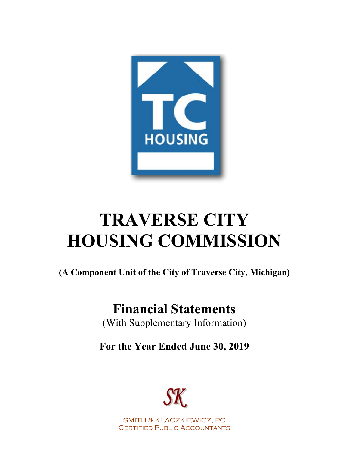

# **TRAVERSE CITY HOUSING COMMISSION**

**(A Component Unit of the City of Traverse City, Michigan)** 

## **Financial Statements**

(With Supplementary Information)

**For the Year Ended June 30, 2019**



SMITH & KLACZKIEWICZ, PC **CERTIFIED PUBLIC ACCOUNTANTS**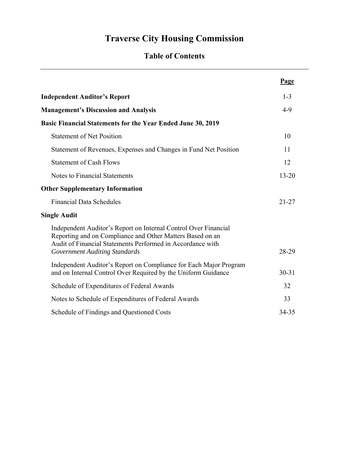## **Table of Contents**

|                                                                                                                                                                                                                                    | Page      |
|------------------------------------------------------------------------------------------------------------------------------------------------------------------------------------------------------------------------------------|-----------|
| <b>Independent Auditor's Report</b>                                                                                                                                                                                                | $1 - 3$   |
| <b>Management's Discussion and Analysis</b>                                                                                                                                                                                        | $4-9$     |
| <b>Basic Financial Statements for the Year Ended June 30, 2019</b>                                                                                                                                                                 |           |
| <b>Statement of Net Position</b>                                                                                                                                                                                                   | 10        |
| Statement of Revenues, Expenses and Changes in Fund Net Position                                                                                                                                                                   | 11        |
| <b>Statement of Cash Flows</b>                                                                                                                                                                                                     | 12        |
| Notes to Financial Statements                                                                                                                                                                                                      | $13 - 20$ |
| <b>Other Supplementary Information</b>                                                                                                                                                                                             |           |
| <b>Financial Data Schedules</b>                                                                                                                                                                                                    | $21 - 27$ |
| <b>Single Audit</b>                                                                                                                                                                                                                |           |
| Independent Auditor's Report on Internal Control Over Financial<br>Reporting and on Compliance and Other Matters Based on an<br>Audit of Financial Statements Performed in Accordance with<br><b>Government Auditing Standards</b> | 28-29     |
| Independent Auditor's Report on Compliance for Each Major Program<br>and on Internal Control Over Required by the Uniform Guidance                                                                                                 | $30 - 31$ |
| Schedule of Expenditures of Federal Awards                                                                                                                                                                                         | 32        |
| Notes to Schedule of Expenditures of Federal Awards                                                                                                                                                                                | 33        |
| Schedule of Findings and Questioned Costs                                                                                                                                                                                          | 34-35     |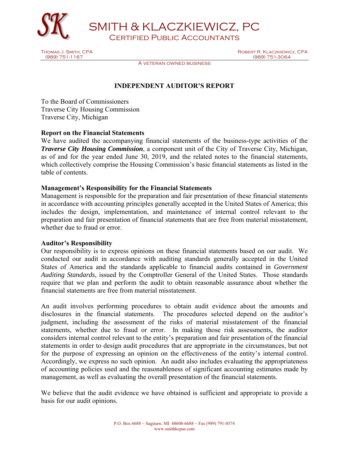

SMITH & KLACZKIEWICZ, PC Certified Public Accountants

Thomas J. Smith, CPA Robert R. Klaczkiewicz, CPA (989) 751-3064

A veteran owned business

#### **INDEPENDENT AUDITOR'S REPORT**

To the Board of Commissioners Traverse City Housing Commission Traverse City, Michigan

#### **Report on the Financial Statements**

We have audited the accompanying financial statements of the business-type activities of the *Traverse City Housing Commission*, a component unit of the City of Traverse City, Michigan, as of and for the year ended June 30, 2019, and the related notes to the financial statements, which collectively comprise the Housing Commission's basic financial statements as listed in the table of contents.

#### **Management's Responsibility for the Financial Statements**

Management is responsible for the preparation and fair presentation of these financial statements in accordance with accounting principles generally accepted in the United States of America; this includes the design, implementation, and maintenance of internal control relevant to the preparation and fair presentation of financial statements that are free from material misstatement, whether due to fraud or error.

#### **Auditor's Responsibility**

Our responsibility is to express opinions on these financial statements based on our audit. We conducted our audit in accordance with auditing standards generally accepted in the United States of America and the standards applicable to financial audits contained in *Government Auditing Standards*, issued by the Comptroller General of the United States. Those standards require that we plan and perform the audit to obtain reasonable assurance about whether the financial statements are free from material misstatement.

An audit involves performing procedures to obtain audit evidence about the amounts and disclosures in the financial statements. The procedures selected depend on the auditor's judgment, including the assessment of the risks of material misstatement of the financial statements, whether due to fraud or error. In making those risk assessments, the auditor considers internal control relevant to the entity's preparation and fair presentation of the financial statements in order to design audit procedures that are appropriate in the circumstances, but not for the purpose of expressing an opinion on the effectiveness of the entity's internal control. Accordingly, we express no such opinion. An audit also includes evaluating the appropriateness of accounting policies used and the reasonableness of significant accounting estimates made by management, as well as evaluating the overall presentation of the financial statements.

We believe that the audit evidence we have obtained is sufficient and appropriate to provide a basis for our audit opinions.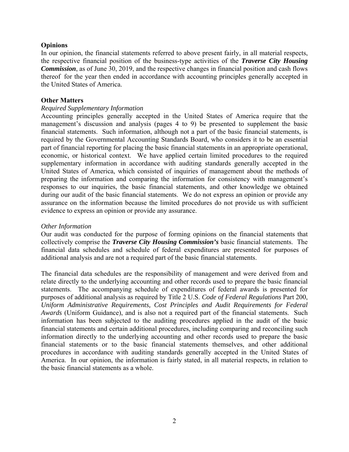#### **Opinions**

In our opinion, the financial statements referred to above present fairly, in all material respects, the respective financial position of the business-type activities of the *Traverse City Housing Commission*, as of June 30, 2019, and the respective changes in financial position and cash flows thereof for the year then ended in accordance with accounting principles generally accepted in the United States of America.

#### **Other Matters**

#### *Required Supplementary Information*

Accounting principles generally accepted in the United States of America require that the management's discussion and analysis (pages 4 to 9) be presented to supplement the basic financial statements. Such information, although not a part of the basic financial statements, is required by the Governmental Accounting Standards Board, who considers it to be an essential part of financial reporting for placing the basic financial statements in an appropriate operational, economic, or historical context. We have applied certain limited procedures to the required supplementary information in accordance with auditing standards generally accepted in the United States of America, which consisted of inquiries of management about the methods of preparing the information and comparing the information for consistency with management's responses to our inquiries, the basic financial statements, and other knowledge we obtained during our audit of the basic financial statements. We do not express an opinion or provide any assurance on the information because the limited procedures do not provide us with sufficient evidence to express an opinion or provide any assurance.

#### *Other Information*

Our audit was conducted for the purpose of forming opinions on the financial statements that collectively comprise the *Traverse City Housing Commission's* basic financial statements. The financial data schedules and schedule of federal expenditures are presented for purposes of additional analysis and are not a required part of the basic financial statements.

The financial data schedules are the responsibility of management and were derived from and relate directly to the underlying accounting and other records used to prepare the basic financial statements. The accompanying schedule of expenditures of federal awards is presented for purposes of additional analysis as required by Title 2 U.S. *Code of Federal Regulations* Part 200, *Uniform Administrative Requirements, Cost Principles and Audit Requirements for Federal Awards* (Uniform Guidance), and is also not a required part of the financial statements. Such information has been subjected to the auditing procedures applied in the audit of the basic financial statements and certain additional procedures, including comparing and reconciling such information directly to the underlying accounting and other records used to prepare the basic financial statements or to the basic financial statements themselves, and other additional procedures in accordance with auditing standards generally accepted in the United States of America. In our opinion, the information is fairly stated, in all material respects, in relation to the basic financial statements as a whole.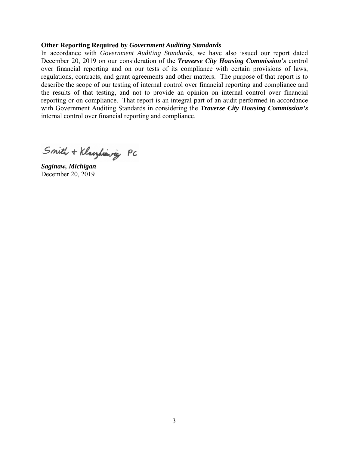#### **Other Reporting Required by** *Government Auditing Standards*

In accordance with Government Auditing Standards, we have also issued our report dated December 20, 2019 on our consideration of the *Traverse City Housing Commission's* control over financial reporting and on our tests of its compliance with certain provisions of laws, regulations, contracts, and grant agreements and other matters. The purpose of that report is to describe the scope of our testing of internal control over financial reporting and compliance and the results of that testing, and not to provide an opinion on internal control over financial reporting or on compliance. That report is an integral part of an audit performed in accordance with Government Auditing Standards in considering the *Traverse City Housing Commission's* internal control over financial reporting and compliance.

Smith + Klacyhiannig PC

*Saginaw, Michigan* December 20, 2019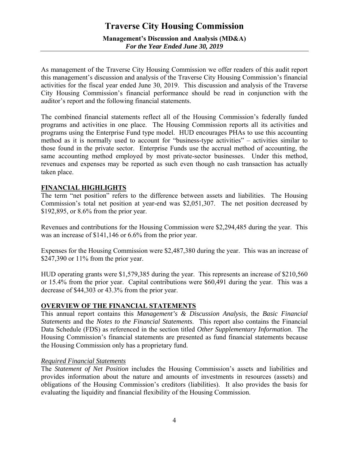## **Traverse City Housing Commission Management's Discussion and Analysis (MD&A)**  *For the Year Ended June 30, 2019*

As management of the Traverse City Housing Commission we offer readers of this audit report this management's discussion and analysis of the Traverse City Housing Commission's financial activities for the fiscal year ended June 30, 2019. This discussion and analysis of the Traverse City Housing Commission's financial performance should be read in conjunction with the auditor's report and the following financial statements.

The combined financial statements reflect all of the Housing Commission's federally funded programs and activities in one place. The Housing Commission reports all its activities and programs using the Enterprise Fund type model. HUD encourages PHAs to use this accounting method as it is normally used to account for "business-type activities" – activities similar to those found in the private sector. Enterprise Funds use the accrual method of accounting, the same accounting method employed by most private-sector businesses. Under this method, revenues and expenses may be reported as such even though no cash transaction has actually taken place.

#### **FINANCIAL HIGHLIGHTS**

The term "net position" refers to the difference between assets and liabilities. The Housing Commission's total net position at year-end was \$2,051,307. The net position decreased by \$192,895, or 8.6% from the prior year.

Revenues and contributions for the Housing Commission were \$2,294,485 during the year. This was an increase of \$141,146 or 6.6% from the prior year.

Expenses for the Housing Commission were \$2,487,380 during the year. This was an increase of \$247,390 or 11% from the prior year.

HUD operating grants were \$1,579,385 during the year. This represents an increase of \$210,560 or 15.4% from the prior year. Capital contributions were \$60,491 during the year. This was a decrease of \$44,303 or 43.3% from the prior year.

#### **OVERVIEW OF THE FINANCIAL STATEMENTS**

This annual report contains this *Management's & Discussion Analysis*, the *Basic Financial Statements* and the *Notes to the Financial Statements*. This report also contains the Financial Data Schedule (FDS) as referenced in the section titled *Other Supplementary Information*. The Housing Commission's financial statements are presented as fund financial statements because the Housing Commission only has a proprietary fund.

#### *Required Financial Statements*

The *Statement of Net Position* includes the Housing Commission's assets and liabilities and provides information about the nature and amounts of investments in resources (assets) and obligations of the Housing Commission's creditors (liabilities). It also provides the basis for evaluating the liquidity and financial flexibility of the Housing Commission.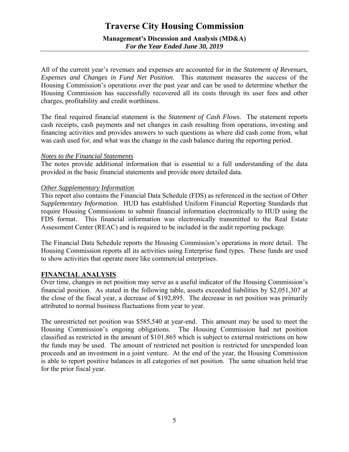## **Traverse City Housing Commission Management's Discussion and Analysis (MD&A)**  *For the Year Ended June 30, 2019*

All of the current year's revenues and expenses are accounted for in the *Statement of Revenues, Expenses and Changes in Fund Net Position*. This statement measures the success of the Housing Commission's operations over the past year and can be used to determine whether the Housing Commission has successfully recovered all its costs through its user fees and other charges, profitability and credit worthiness.

The final required financial statement is the *Statement of Cash Flows*. The statement reports cash receipts, cash payments and net changes in cash resulting from operations, investing and financing activities and provides answers to such questions as where did cash come from, what was cash used for, and what was the change in the cash balance during the reporting period.

#### *Notes to the Financial Statements*

The notes provide additional information that is essential to a full understanding of the data provided in the basic financial statements and provide more detailed data.

#### *Other Supplementary Information*

This report also contains the Financial Data Schedule (FDS) as referenced in the section of *Other Supplementary Information*. HUD has established Uniform Financial Reporting Standards that require Housing Commissions to submit financial information electronically to HUD using the FDS format. This financial information was electronically transmitted to the Real Estate Assessment Center (REAC) and is required to be included in the audit reporting package.

The Financial Data Schedule reports the Housing Commission's operations in more detail. The Housing Commission reports all its activities using Enterprise fund types. These funds are used to show activities that operate more like commercial enterprises.

#### **FINANCIAL ANALYSIS**

Over time, changes in net position may serve as a useful indicator of the Housing Commission's financial position. As stated in the following table, assets exceeded liabilities by \$2,051,307 at the close of the fiscal year, a decrease of \$192,895. The decrease in net position was primarily attributed to normal business fluctuations from year to year.

The unrestricted net position was \$585,540 at year-end. This amount may be used to meet the Housing Commission's ongoing obligations. The Housing Commission had net position classified as restricted in the amount of \$101,865 which is subject to external restrictions on how the funds may be used. The amount of restricted net position is restricted for unexpended loan proceeds and an investment in a joint venture. At the end of the year, the Housing Commission is able to report positive balances in all categories of net position. The same situation held true for the prior fiscal year.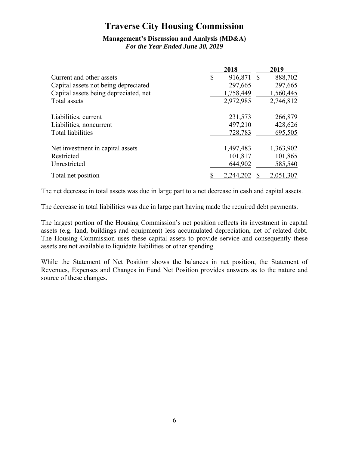#### **Management's Discussion and Analysis (MD&A)**  *For the Year Ended June 30, 2019*

|                                       | 2018         | 2019                     |
|---------------------------------------|--------------|--------------------------|
| Current and other assets              | 916,871<br>S | 888,702<br><sup>\$</sup> |
| Capital assets not being depreciated  | 297,665      | 297,665                  |
| Capital assets being depreciated, net | 1,758,449    | 1,560,445                |
| Total assets                          | 2,972,985    | 2,746,812                |
|                                       |              |                          |
| Liabilities, current                  | 231,573      | 266,879                  |
| Liabilities, noncurrent               | 497,210      | 428,626                  |
| <b>Total liabilities</b>              | 728,783      | 695,505                  |
|                                       |              |                          |
| Net investment in capital assets      | 1,497,483    | 1,363,902                |
| Restricted                            | 101,817      | 101,865                  |
| Unrestricted                          | 644,902      | 585,540                  |
| Total net position                    | 2,244,202    | 2,051,307                |

The net decrease in total assets was due in large part to a net decrease in cash and capital assets.

The decrease in total liabilities was due in large part having made the required debt payments.

The largest portion of the Housing Commission's net position reflects its investment in capital assets (e.g. land, buildings and equipment) less accumulated depreciation, net of related debt. The Housing Commission uses these capital assets to provide service and consequently these assets are not available to liquidate liabilities or other spending.

While the Statement of Net Position shows the balances in net position, the Statement of Revenues, Expenses and Changes in Fund Net Position provides answers as to the nature and source of these changes.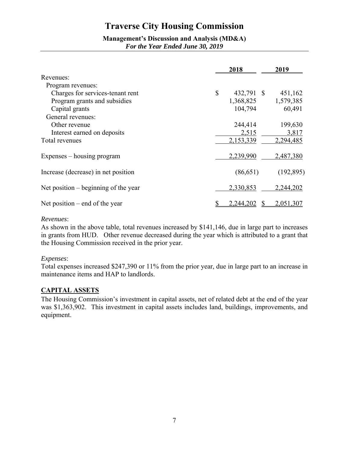#### **Management's Discussion and Analysis (MD&A)**  *For the Year Ended June 30, 2019*

|                                        |              | 2018       | 2019       |
|----------------------------------------|--------------|------------|------------|
| Revenues:                              |              |            |            |
| Program revenues:                      |              |            |            |
| Charges for services-tenant rent       | $\mathbb{S}$ | 432,791 \$ | 451,162    |
| Program grants and subsidies           |              | 1,368,825  | 1,579,385  |
| Capital grants                         |              | 104,794    | 60,491     |
| General revenues:                      |              |            |            |
| Other revenue                          |              | 244,414    | 199,630    |
| Interest earned on deposits            |              | 2,515      | 3,817      |
| Total revenues                         |              | 2,153,339  | 2,294,485  |
| Expenses – housing program             |              | 2,239,990  | 2,487,380  |
| Increase (decrease) in net position    |              | (86,651)   | (192, 895) |
| Net position $-$ beginning of the year |              | 2,330,853  | 2,244,202  |
| Net position $-$ end of the year       |              | 2,244,202  | 2,051,307  |

#### *Revenues*:

As shown in the above table, total revenues increased by \$141,146, due in large part to increases in grants from HUD. Other revenue decreased during the year which is attributed to a grant that the Housing Commission received in the prior year.

#### *Expenses*:

Total expenses increased \$247,390 or 11% from the prior year, due in large part to an increase in maintenance items and HAP to landlords.

#### **CAPITAL ASSETS**

The Housing Commission's investment in capital assets, net of related debt at the end of the year was \$1,363,902. This investment in capital assets includes land, buildings, improvements, and equipment.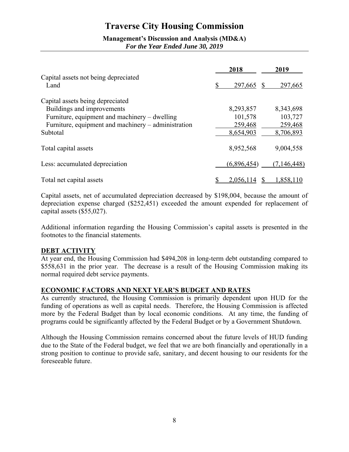#### **Management's Discussion and Analysis (MD&A)**  *For the Year Ended June 30, 2019*

|                                                     | 2018        | 2019          |
|-----------------------------------------------------|-------------|---------------|
| Capital assets not being depreciated<br>Land        | 297,665     | 297,665       |
| Capital assets being depreciated                    |             |               |
| Buildings and improvements                          | 8,293,857   | 8,343,698     |
| Furniture, equipment and machinery – dwelling       | 101,578     | 103,727       |
| Furniture, equipment and machinery – administration | 259,468     | 259,468       |
| Subtotal                                            | 8,654,903   | 8,706,893     |
| Total capital assets                                | 8,952,568   | 9,004,558     |
| Less: accumulated depreciation                      | (6,896,454) | (7, 146, 448) |
| Total net capital assets                            | 2,056,114   | 1,858,110     |

Capital assets, net of accumulated depreciation decreased by \$198,004, because the amount of depreciation expense charged (\$252,451) exceeded the amount expended for replacement of capital assets (\$55,027).

Additional information regarding the Housing Commission's capital assets is presented in the footnotes to the financial statements.

#### **DEBT ACTIVITY**

At year end, the Housing Commission had \$494,208 in long-term debt outstanding compared to \$558,631 in the prior year. The decrease is a result of the Housing Commission making its normal required debt service payments.

#### **ECONOMIC FACTORS AND NEXT YEAR'S BUDGET AND RATES**

As currently structured, the Housing Commission is primarily dependent upon HUD for the funding of operations as well as capital needs. Therefore, the Housing Commission is affected more by the Federal Budget than by local economic conditions. At any time, the funding of programs could be significantly affected by the Federal Budget or by a Government Shutdown.

Although the Housing Commission remains concerned about the future levels of HUD funding due to the State of the Federal budget, we feel that we are both financially and operationally in a strong position to continue to provide safe, sanitary, and decent housing to our residents for the foreseeable future.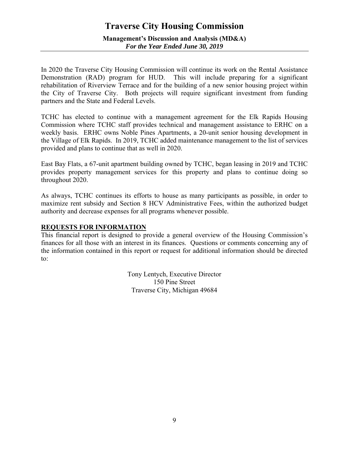## **Traverse City Housing Commission Management's Discussion and Analysis (MD&A)**  *For the Year Ended June 30, 2019*

In 2020 the Traverse City Housing Commission will continue its work on the Rental Assistance Demonstration (RAD) program for HUD. This will include preparing for a significant rehabilitation of Riverview Terrace and for the building of a new senior housing project within the City of Traverse City. Both projects will require significant investment from funding partners and the State and Federal Levels.

TCHC has elected to continue with a management agreement for the Elk Rapids Housing Commission where TCHC staff provides technical and management assistance to ERHC on a weekly basis. ERHC owns Noble Pines Apartments, a 20-unit senior housing development in the Village of Elk Rapids. In 2019, TCHC added maintenance management to the list of services provided and plans to continue that as well in 2020.

East Bay Flats, a 67-unit apartment building owned by TCHC, began leasing in 2019 and TCHC provides property management services for this property and plans to continue doing so throughout 2020.

As always, TCHC continues its efforts to house as many participants as possible, in order to maximize rent subsidy and Section 8 HCV Administrative Fees, within the authorized budget authority and decrease expenses for all programs whenever possible.

#### **REQUESTS FOR INFORMATION**

This financial report is designed to provide a general overview of the Housing Commission's finances for all those with an interest in its finances. Questions or comments concerning any of the information contained in this report or request for additional information should be directed to:

> Tony Lentych, Executive Director 150 Pine Street Traverse City, Michigan 49684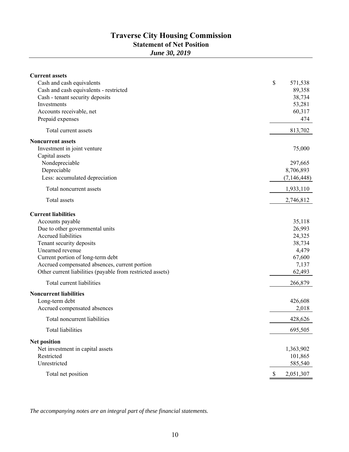## **Traverse City Housing Commission Statement of Net Position** *June 30, 2019*

| <b>Current assets</b>                                      |    |               |
|------------------------------------------------------------|----|---------------|
| Cash and cash equivalents                                  | \$ | 571,538       |
| Cash and cash equivalents - restricted                     |    | 89,358        |
| Cash - tenant security deposits                            |    | 38,734        |
| Investments                                                |    | 53,281        |
| Accounts receivable, net                                   |    | 60,317        |
| Prepaid expenses                                           |    | 474           |
| Total current assets                                       |    | 813,702       |
| <b>Noncurrent assets</b>                                   |    |               |
| Investment in joint venture                                |    | 75,000        |
| Capital assets                                             |    |               |
| Nondepreciable                                             |    | 297,665       |
| Depreciable                                                |    | 8,706,893     |
| Less: accumulated depreciation                             |    | (7, 146, 448) |
|                                                            |    |               |
| Total noncurrent assets                                    |    | 1,933,110     |
| Total assets                                               |    | 2,746,812     |
| <b>Current liabilities</b>                                 |    |               |
| Accounts payable                                           |    | 35,118        |
| Due to other governmental units                            |    | 26,993        |
| Accrued liabilities                                        |    | 24,325        |
| Tenant security deposits                                   |    | 38,734        |
| Unearned revenue                                           |    | 4,479         |
| Current portion of long-term debt                          |    | 67,600        |
| Accrued compensated absences, current portion              |    | 7,137         |
| Other current liabilities (payable from restricted assets) |    | 62,493        |
| Total current liabilities                                  |    | 266,879       |
| <b>Noncurrent liabilities</b>                              |    |               |
| Long-term debt                                             |    | 426,608       |
| Accrued compensated absences                               |    | 2,018         |
| Total noncurrent liabilities                               |    | 428,626       |
| <b>Total liabilities</b>                                   |    | 695,505       |
| <b>Net position</b>                                        |    |               |
| Net investment in capital assets                           |    | 1,363,902     |
| Restricted                                                 |    | 101,865       |
| Unrestricted                                               |    | 585,540       |
| Total net position                                         | P  | 2,051,307     |

*The accompanying notes are an integral part of these financial statements.*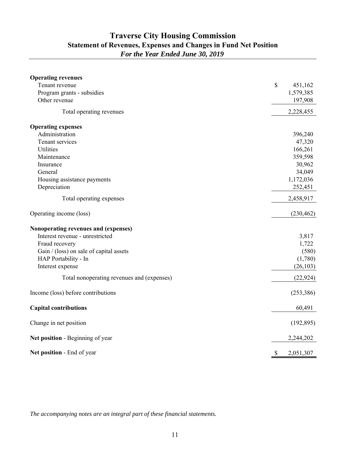## **Traverse City Housing Commission Statement of Revenues, Expenses and Changes in Fund Net Position** *For the Year Ended June 30, 2019*

| <b>Operating revenues</b>                  |                         |
|--------------------------------------------|-------------------------|
| Tenant revenue                             | $\mathbb{S}$<br>451,162 |
| Program grants - subsidies                 | 1,579,385               |
| Other revenue                              | 197,908                 |
| Total operating revenues                   | 2,228,455               |
| <b>Operating expenses</b>                  |                         |
| Administration                             | 396,240                 |
| Tenant services                            | 47,320                  |
| Utilities                                  | 166,261                 |
| Maintenance                                | 359,598                 |
| Insurance                                  | 30,962                  |
| General                                    | 34,049                  |
| Housing assistance payments                | 1,172,036               |
| Depreciation                               | 252,451                 |
| Total operating expenses                   | 2,458,917               |
| Operating income (loss)                    | (230, 462)              |
| Nonoperating revenues and (expenses)       |                         |
| Interest revenue - unrestricted            | 3,817                   |
| Fraud recovery                             | 1,722                   |
| Gain / (loss) on sale of capital assets    | (580)                   |
| HAP Portability - In                       | (1,780)                 |
| Interest expense                           | (26, 103)               |
| Total nonoperating revenues and (expenses) | (22, 924)               |
| Income (loss) before contributions         | (253, 386)              |
| <b>Capital contributions</b>               | 60,491                  |
| Change in net position                     | (192, 895)              |
| Net position - Beginning of year           | 2,244,202               |
| Net position - End of year                 | \$<br>2,051,307         |

*The accompanying notes are an integral part of these financial statements.*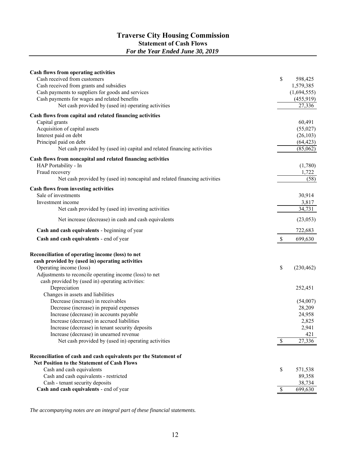#### **Traverse City Housing Commission Statement of Cash Flows** *For the Year Ended June 30, 2019*

| <b>Cash flows from operating activities</b>                                |              |             |
|----------------------------------------------------------------------------|--------------|-------------|
| Cash received from customers                                               | \$           | 598,425     |
| Cash received from grants and subsidies                                    |              | 1,579,385   |
| Cash payments to suppliers for goods and services                          |              | (1,694,555) |
| Cash payments for wages and related benefits                               |              | (455, 919)  |
| Net cash provided by (used in) operating activities                        |              | 27,336      |
| Cash flows from capital and related financing activities                   |              |             |
| Capital grants                                                             |              | 60,491      |
| Acquisition of capital assets                                              |              | (55,027)    |
| Interest paid on debt                                                      |              | (26, 103)   |
| Principal paid on debt                                                     |              | (64, 423)   |
| Net cash provided by (used in) capital and related financing activities    |              | (85,062)    |
| Cash flows from noncapital and related financing activities                |              |             |
| HAP Portability - In                                                       |              | (1,780)     |
| Fraud recovery                                                             |              | 1,722       |
| Net cash provided by (used in) noncapital and related financing activities |              | (58)        |
| Cash flows from investing activities                                       |              |             |
| Sale of investments                                                        |              | 30,914      |
| Investment income                                                          |              | 3,817       |
| Net cash provided by (used in) investing activities                        |              | 34,731      |
| Net increase (decrease) in cash and cash equivalents                       |              | (23,053)    |
| Cash and cash equivalents - beginning of year                              |              | 722,683     |
| Cash and cash equivalents - end of year                                    | $\mathbb{S}$ | 699,630     |
|                                                                            |              |             |
| Reconciliation of operating income (loss) to net                           |              |             |
| cash provided by (used in) operating activities<br>Operating income (loss) | \$           |             |
| Adjustments to reconcile operating income (loss) to net                    |              | (230, 462)  |
| cash provided by (used in) operating activities:                           |              |             |
| Depreciation                                                               |              | 252,451     |
| Changes in assets and liabilities                                          |              |             |
| Decrease (increase) in receivables                                         |              | (54,007)    |
| Decrease (increase) in prepaid expenses                                    |              | 28,209      |
| Increase (decrease) in accounts payable                                    |              | 24,958      |
| Increase (decrease) in accrued liabilities                                 |              | 2,825       |
| Increase (decrease) in tenant security deposits                            |              | 2,941       |
| Increase (decrease) in unearned revenue                                    |              | 421         |
| Net cash provided by (used in) operating activities                        | $\mathbb{S}$ | 27,336      |
|                                                                            |              |             |
| Reconciliation of cash and cash equivalents per the Statement of           |              |             |
| Net Position to the Statement of Cash Flows                                |              |             |
| Cash and cash equivalents                                                  | \$           | 571,538     |
| Cash and cash equivalents - restricted                                     |              | 89,358      |
| Cash - tenant security deposits                                            |              | 38,734      |
| Cash and cash equivalents - end of year                                    | \$           | 699,630     |

*The accompanying notes are an integral part of these financial statements.*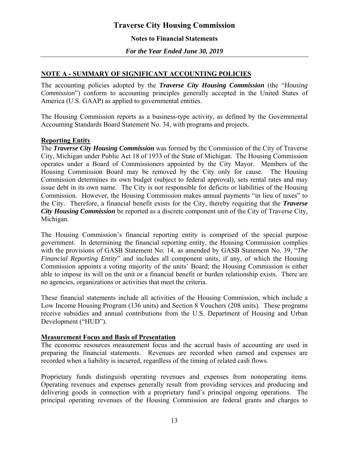#### **Notes to Financial Statements**

*For the Year Ended June 30, 2019* 

#### **NOTE A - SUMMARY OF SIGNIFICANT ACCOUNTING POLICIES**

The accounting policies adopted by the *Traverse City Housing Commission* (the "*Housing Commission*") conform to accounting principles generally accepted in the United States of America (U.S. GAAP) as applied to governmental entities.

The Housing Commission reports as a business-type activity, as defined by the Governmental Accounting Standards Board Statement No. 34, with programs and projects.

#### **Reporting Entity**

The *Traverse City Housing Commission* was formed by the Commission of the City of Traverse City, Michigan under Public Act 18 of 1933 of the State of Michigan. The Housing Commission operates under a Board of Commissioners appointed by the City Mayor. Members of the Housing Commission Board may be removed by the City only for cause. The Housing Commission determines its own budget (subject to federal approval), sets rental rates and may issue debt in its own name. The City is not responsible for deficits or liabilities of the Housing Commission. However, the Housing Commission makes annual payments "in lieu of taxes" to the City. Therefore, a financial benefit exists for the City, thereby requiring that the *Traverse City Housing Commission* be reported as a discrete component unit of the City of Traverse City, Michigan.

The Housing Commission's financial reporting entity is comprised of the special purpose government. In determining the financial reporting entity, the Housing Commission complies with the provisions of GASB Statement No. 14, as amended by GASB Statement No. 39, "*The Financial Reporting Entity*" and includes all component units, if any, of which the Housing Commission appoints a voting majority of the units' Board; the Housing Commission is either able to impose its will on the unit or a financial benefit or burden relationship exists. There are no agencies, organizations or activities that meet the criteria.

These financial statements include all activities of the Housing Commission, which include a Low Income Housing Program (136 units) and Section 8 Vouchers (208 units). These programs receive subsidies and annual contributions from the U.S. Department of Housing and Urban Development ("HUD").

#### **Measurement Focus and Basis of Presentation**

The economic resources measurement focus and the accrual basis of accounting are used in preparing the financial statements. Revenues are recorded when earned and expenses are recorded when a liability is incurred, regardless of the timing of related cash flows.

Proprietary funds distinguish operating revenues and expenses from nonoperating items. Operating revenues and expenses generally result from providing services and producing and delivering goods in connection with a proprietary fund's principal ongoing operations. The principal operating revenues of the Housing Commission are federal grants and charges to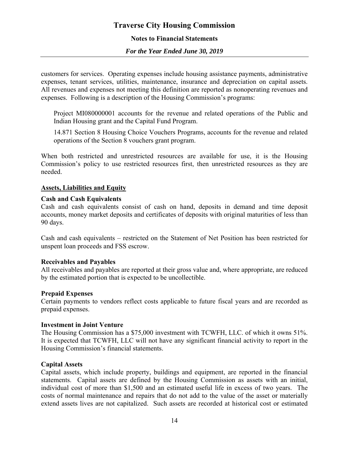#### **Notes to Financial Statements**

#### *For the Year Ended June 30, 2019*

customers for services. Operating expenses include housing assistance payments, administrative expenses, tenant services, utilities, maintenance, insurance and depreciation on capital assets. All revenues and expenses not meeting this definition are reported as nonoperating revenues and expenses. Following is a description of the Housing Commission's programs:

Project MI080000001 accounts for the revenue and related operations of the Public and Indian Housing grant and the Capital Fund Program.

14.871 Section 8 Housing Choice Vouchers Programs, accounts for the revenue and related operations of the Section 8 vouchers grant program.

When both restricted and unrestricted resources are available for use, it is the Housing Commission's policy to use restricted resources first, then unrestricted resources as they are needed.

#### **Assets, Liabilities and Equity**

#### **Cash and Cash Equivalents**

Cash and cash equivalents consist of cash on hand, deposits in demand and time deposit accounts, money market deposits and certificates of deposits with original maturities of less than 90 days.

Cash and cash equivalents – restricted on the Statement of Net Position has been restricted for unspent loan proceeds and FSS escrow.

#### **Receivables and Payables**

All receivables and payables are reported at their gross value and, where appropriate, are reduced by the estimated portion that is expected to be uncollectible.

#### **Prepaid Expenses**

Certain payments to vendors reflect costs applicable to future fiscal years and are recorded as prepaid expenses.

#### **Investment in Joint Venture**

The Housing Commission has a \$75,000 investment with TCWFH, LLC. of which it owns 51%. It is expected that TCWFH, LLC will not have any significant financial activity to report in the Housing Commission's financial statements.

#### **Capital Assets**

Capital assets, which include property, buildings and equipment, are reported in the financial statements. Capital assets are defined by the Housing Commission as assets with an initial, individual cost of more than \$1,500 and an estimated useful life in excess of two years. The costs of normal maintenance and repairs that do not add to the value of the asset or materially extend assets lives are not capitalized. Such assets are recorded at historical cost or estimated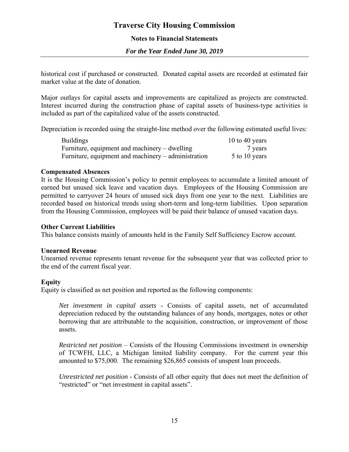**Notes to Financial Statements** 

*For the Year Ended June 30, 2019* 

historical cost if purchased or constructed. Donated capital assets are recorded at estimated fair market value at the date of donation.

Major outlays for capital assets and improvements are capitalized as projects are constructed. Interest incurred during the construction phase of capital assets of business-type activities is included as part of the capitalized value of the assets constructed.

Depreciation is recorded using the straight-line method over the following estimated useful lives:

| <b>Buildings</b>                                    | 10 to 40 years |
|-----------------------------------------------------|----------------|
| Furniture, equipment and machinery $-$ dwelling     | 7 years        |
| Furniture, equipment and machinery – administration | 5 to 10 years  |

#### **Compensated Absences**

It is the Housing Commission's policy to permit employees to accumulate a limited amount of earned but unused sick leave and vacation days. Employees of the Housing Commission are permitted to carryover 24 hours of unused sick days from one year to the next. Liabilities are recorded based on historical trends using short-term and long-term liabilities. Upon separation from the Housing Commission, employees will be paid their balance of unused vacation days.

#### **Other Current Liabilities**

This balance consists mainly of amounts held in the Family Self Sufficiency Escrow account.

#### **Unearned Revenue**

Unearned revenue represents tenant revenue for the subsequent year that was collected prior to the end of the current fiscal year.

#### **Equity**

Equity is classified as net position and reported as the following components:

*Net investment in capital assets* - Consists of capital assets, net of accumulated depreciation reduced by the outstanding balances of any bonds, mortgages, notes or other borrowing that are attributable to the acquisition, construction, or improvement of those assets.

*Restricted net position* – Consists of the Housing Commissions investment in ownership of TCWFH, LLC, a Michigan limited liability company. For the current year this amounted to \$75,000. The remaining \$26,865 consists of unspent loan proceeds.

*Unrestricted net position* - Consists of all other equity that does not meet the definition of "restricted" or "net investment in capital assets".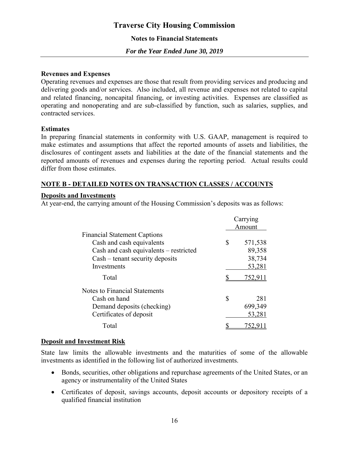#### **Notes to Financial Statements**

#### *For the Year Ended June 30, 2019*

#### **Revenues and Expenses**

Operating revenues and expenses are those that result from providing services and producing and delivering goods and/or services. Also included, all revenue and expenses not related to capital and related financing, noncapital financing, or investing activities. Expenses are classified as operating and nonoperating and are sub-classified by function, such as salaries, supplies, and contracted services.

#### **Estimates**

In preparing financial statements in conformity with U.S. GAAP, management is required to make estimates and assumptions that affect the reported amounts of assets and liabilities, the disclosures of contingent assets and liabilities at the date of the financial statements and the reported amounts of revenues and expenses during the reporting period. Actual results could differ from those estimates.

#### **NOTE B - DETAILED NOTES ON TRANSACTION CLASSES / ACCOUNTS**

#### **Deposits and Investments**

At year-end, the carrying amount of the Housing Commission's deposits was as follows:

|                                                                  |    | Carrying<br>Amount |  |
|------------------------------------------------------------------|----|--------------------|--|
| <b>Financial Statement Captions</b><br>Cash and cash equivalents | \$ | 571,538            |  |
| Cash and cash equivalents – restricted                           |    | 89,358             |  |
| Cash – tenant security deposits                                  |    | 38,734             |  |
| Investments                                                      |    | 53,281             |  |
| Total                                                            |    | 752,911            |  |
| Notes to Financial Statements                                    |    |                    |  |
| Cash on hand                                                     | \$ | 281                |  |
| Demand deposits (checking)                                       |    | 699,349            |  |
| Certificates of deposit                                          |    | 53,281             |  |
| Total                                                            |    | 752,911            |  |

#### **Deposit and Investment Risk**

State law limits the allowable investments and the maturities of some of the allowable investments as identified in the following list of authorized investments.

- Bonds, securities, other obligations and repurchase agreements of the United States, or an agency or instrumentality of the United States
- Certificates of deposit, savings accounts, deposit accounts or depository receipts of a qualified financial institution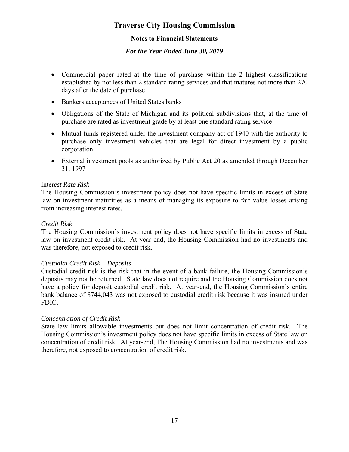#### **Notes to Financial Statements**

#### *For the Year Ended June 30, 2019*

- Commercial paper rated at the time of purchase within the 2 highest classifications established by not less than 2 standard rating services and that matures not more than 270 days after the date of purchase
- Bankers acceptances of United States banks
- Obligations of the State of Michigan and its political subdivisions that, at the time of purchase are rated as investment grade by at least one standard rating service
- Mutual funds registered under the investment company act of 1940 with the authority to purchase only investment vehicles that are legal for direct investment by a public corporation
- External investment pools as authorized by Public Act 20 as amended through December 31, 1997

#### Inter*est Rate Risk*

The Housing Commission's investment policy does not have specific limits in excess of State law on investment maturities as a means of managing its exposure to fair value losses arising from increasing interest rates.

#### *Credit Risk*

The Housing Commission's investment policy does not have specific limits in excess of State law on investment credit risk. At year-end, the Housing Commission had no investments and was therefore, not exposed to credit risk.

#### *Custodial Credit Risk – Deposits*

Custodial credit risk is the risk that in the event of a bank failure, the Housing Commission's deposits may not be returned. State law does not require and the Housing Commission does not have a policy for deposit custodial credit risk. At year-end, the Housing Commission's entire bank balance of \$744,043 was not exposed to custodial credit risk because it was insured under FDIC.

#### *Concentration of Credit Risk*

State law limits allowable investments but does not limit concentration of credit risk. The Housing Commission's investment policy does not have specific limits in excess of State law on concentration of credit risk. At year-end, The Housing Commission had no investments and was therefore, not exposed to concentration of credit risk.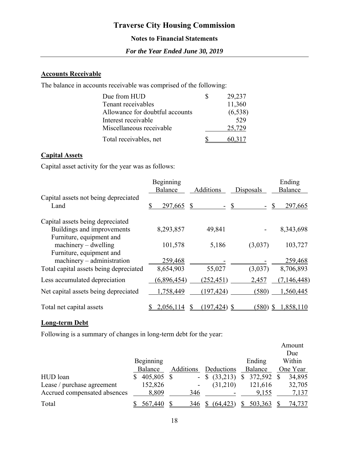### **Notes to Financial Statements**

*For the Year Ended June 30, 2019* 

#### **Accounts Receivable**

The balance in accounts receivable was comprised of the following:

| Due from HUD                    | 29,237  |
|---------------------------------|---------|
| Tenant receivables              | 11,360  |
| Allowance for doubtful accounts | (6,538) |
| Interest receivable             | 529     |
| Miscellaneous receivable        | 25,729  |
| Total receivables, net          |         |

## **Capital Assets**

Capital asset activity for the year was as follows:

|                                        | Beginning<br>Balance | Additions    | Disposals | Ending<br>Balance |
|----------------------------------------|----------------------|--------------|-----------|-------------------|
| Capital assets not being depreciated   |                      |              |           |                   |
| Land                                   | \$<br>297,665        | <sup>S</sup> | $-$ \$    | \$<br>297,665     |
| Capital assets being depreciated       |                      |              |           |                   |
| Buildings and improvements             | 8,293,857            | 49,841       |           | 8,343,698         |
| Furniture, equipment and               |                      |              |           |                   |
| machinery – dwelling                   | 101,578              | 5,186        | (3,037)   | 103,727           |
| Furniture, equipment and               |                      |              |           |                   |
| $machinery - administration$           | 259,468              |              |           | 259,468           |
| Total capital assets being depreciated | 8,654,903            | 55,027       | (3,037)   | 8,706,893         |
| Less accumulated depreciation          | (6,896,454)          | (252, 451)   | 2,457     | (7, 146, 448)     |
| Net capital assets being depreciated   | 1,758,449            | (197, 424)   | (580)     | 1,560,445         |
| Total net capital assets               | 2,056,114            | (197, 424)   | (580)     | 1,858,110         |

#### **Long-term Debt**

Following is a summary of changes in long-term debt for the year:

|                              |            |           |                          |               | Amount   |
|------------------------------|------------|-----------|--------------------------|---------------|----------|
|                              |            |           |                          |               | Due      |
|                              | Beginning  |           |                          | Ending        | Within   |
|                              | Balance    | Additions | Deductions               | Balance       | One Year |
| HUD loan                     | 405,805 \$ |           | (33,213)<br><sup>S</sup> | 372,592<br>\$ | 34,895   |
| Lease / purchase agreement   | 152,826    |           | (31,210)                 | 121,616       | 32,705   |
| Accrued compensated absences | 8,809      | 346       |                          | 9,155         | 7,137    |
| Total                        | 567,440    | 346       | (64,423                  | 503,363       | 74,737   |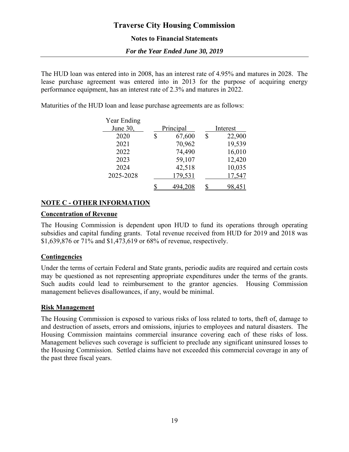**Notes to Financial Statements** 

*For the Year Ended June 30, 2019* 

The HUD loan was entered into in 2008, has an interest rate of 4.95% and matures in 2028. The lease purchase agreement was entered into in 2013 for the purpose of acquiring energy performance equipment, has an interest rate of 2.3% and matures in 2022.

Maturities of the HUD loan and lease purchase agreements are as follows:

| June 30,  |                    |         |           | Interest |
|-----------|--------------------|---------|-----------|----------|
| 2020      | \$                 | 67,600  | \$        | 22,900   |
| 2021      |                    | 70,962  |           | 19,539   |
| 2022      |                    | 74,490  |           | 16,010   |
| 2023      |                    | 59,107  |           | 12,420   |
| 2024      |                    | 42,518  |           | 10,035   |
| 2025-2028 |                    | 179,531 |           | 17,547   |
|           |                    |         |           | 98,451   |
|           | <b>Year Ending</b> |         | Principal |          |

#### **NOTE C - OTHER INFORMATION**

#### **Concentration of Revenue**

The Housing Commission is dependent upon HUD to fund its operations through operating subsidies and capital funding grants. Total revenue received from HUD for 2019 and 2018 was \$1,639,876 or 71% and \$1,473,619 or 68% of revenue, respectively.

#### **Contingencies**

Under the terms of certain Federal and State grants, periodic audits are required and certain costs may be questioned as not representing appropriate expenditures under the terms of the grants. Such audits could lead to reimbursement to the grantor agencies. Housing Commission management believes disallowances, if any, would be minimal.

#### **Risk Management**

The Housing Commission is exposed to various risks of loss related to torts, theft of, damage to and destruction of assets, errors and omissions, injuries to employees and natural disasters. The Housing Commission maintains commercial insurance covering each of these risks of loss. Management believes such coverage is sufficient to preclude any significant uninsured losses to the Housing Commission. Settled claims have not exceeded this commercial coverage in any of the past three fiscal years.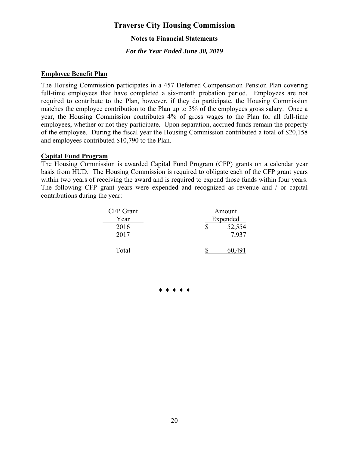#### **Notes to Financial Statements**

*For the Year Ended June 30, 2019* 

#### **Employee Benefit Plan**

The Housing Commission participates in a 457 Deferred Compensation Pension Plan covering full-time employees that have completed a six-month probation period. Employees are not required to contribute to the Plan, however, if they do participate, the Housing Commission matches the employee contribution to the Plan up to 3% of the employees gross salary. Once a year, the Housing Commission contributes 4% of gross wages to the Plan for all full-time employees, whether or not they participate. Upon separation, accrued funds remain the property of the employee. During the fiscal year the Housing Commission contributed a total of \$20,158 and employees contributed \$10,790 to the Plan.

#### **Capital Fund Program**

The Housing Commission is awarded Capital Fund Program (CFP) grants on a calendar year basis from HUD. The Housing Commission is required to obligate each of the CFP grant years within two years of receiving the award and is required to expend those funds within four years. The following CFP grant years were expended and recognized as revenue and / or capital contributions during the year:

| CFP Grant | Amount       |  |
|-----------|--------------|--|
| Year      | Expended     |  |
| 2016      | \$<br>52,554 |  |
| 2017      | 7,937        |  |
| Total     | 60.4         |  |

♦ ♦ ♦ ♦ ♦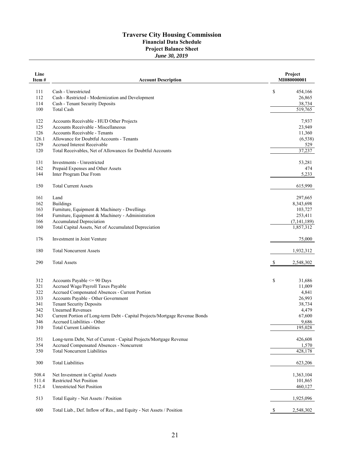#### **Traverse City Housing Commission Financial Data Schedule Project Balance Sheet** *June 30, 2019*

| Line<br>Item# | <b>Account Description</b>                                                  | Project<br>MI080000001 |
|---------------|-----------------------------------------------------------------------------|------------------------|
| 111           | Cash - Unrestricted                                                         | \$<br>454,166          |
| 112           | Cash - Restricted - Modernization and Development                           | 26,865                 |
| 114           | Cash - Tenant Security Deposits                                             | 38,734                 |
| 100           | Total Cash                                                                  | 519,765                |
|               |                                                                             |                        |
| 122           | Accounts Receivable - HUD Other Projects                                    | 7,937                  |
| 125           | Accounts Receivable - Miscellaneous                                         | 23,949                 |
| 126           | Accounts Receivable - Tenants                                               | 11,360                 |
| 126.1         | Allowance for Doubtful Accounts - Tenants                                   | (6, 538)               |
| 129           | Accrued Interest Receivable                                                 | 529                    |
| 120           | Total Receivables, Net of Allowances for Doubtful Accounts                  | 37,237                 |
| 131           | Investments - Unrestricted                                                  | 53,281                 |
| 142           | Prepaid Expenses and Other Assets                                           | 474                    |
| 144           | Inter Program Due From                                                      | 5,233                  |
|               |                                                                             |                        |
| 150           | <b>Total Current Assets</b>                                                 | 615,990                |
| 161           | Land                                                                        | 297,665                |
| 162           | <b>Buildings</b>                                                            | 8,343,698              |
| 163           | Furniture, Equipment & Machinery - Dwellings                                | 103,727                |
| 164           | Furniture, Equipment & Machinery - Administration                           | 253,411                |
| 166           | Accumulated Depreciation                                                    | (7, 141, 189)          |
| 160           | Total Capital Assets, Net of Accumulated Depreciation                       | 1,857,312              |
| 176           | Investment in Joint Venture                                                 | 75,000                 |
| 180           | <b>Total Noncurrent Assets</b>                                              | 1,932,312              |
| 290           | <b>Total Assets</b>                                                         | -S<br>2,548,302        |
|               |                                                                             |                        |
| 312           | Accounts Payable $\leq$ 90 Days                                             | \$<br>31,686           |
| 321           | Accrued Wage/Payroll Taxes Payable                                          | 11,009                 |
| 322           | Accrued Compensated Absences - Current Portion                              | 4,841                  |
| 333           | Accounts Payable - Other Government                                         | 26,993                 |
| 341           | <b>Tenant Security Deposits</b>                                             | 38,734                 |
| 342           | <b>Unearned Revenues</b>                                                    | 4,479                  |
| 343           | Current Portion of Long-term Debt - Capital Projects/Mortgage Revenue Bonds | 67,600                 |
| 346           | Accrued Liabilities - Other                                                 | 9,686                  |
| 310           | <b>Total Current Liabilities</b>                                            | 195,028                |
| 351           | Long-term Debt, Net of Current - Capital Projects/Mortgage Revenue          | 426,608                |
| 354           | Accrued Compensated Absences - Noncurrent                                   |                        |
|               | <b>Total Noncurrent Liabilities</b>                                         | 1,570<br>428,178       |
| 350           |                                                                             |                        |
| 300           | <b>Total Liabilities</b>                                                    | 623,206                |
| 508.4         | Net Investment in Capital Assets                                            | 1,363,104              |
| 511.4         | <b>Restricted Net Position</b>                                              | 101,865                |
| 512.4         | <b>Unrestricted Net Position</b>                                            | 460,127                |
| 513           | Total Equity - Net Assets / Position                                        | 1,925,096              |
| 600           | Total Liab., Def. Inflow of Res., and Equity - Net Assets / Position        | \$<br>2,548,302        |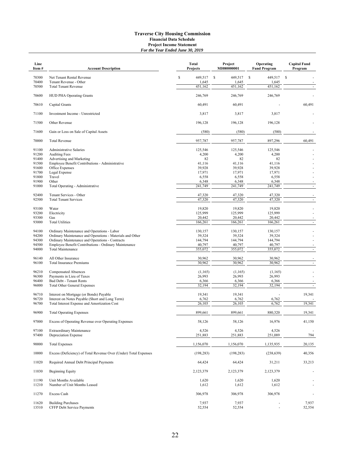#### **Traverse City Housing Commission Financial Data Schedule Project Income Statement**

*For the Year Ended June 30, 2019*

| Line<br>Item#  | <b>Account Description</b>                                       |              | <b>Total</b><br>Projects | Project<br>MI080000001 | Operating<br><b>Fund Program</b> | <b>Capital Fund</b><br>Program |
|----------------|------------------------------------------------------------------|--------------|--------------------------|------------------------|----------------------------------|--------------------------------|
| 70300          | Net Tenant Rental Revenue                                        | $\mathbb{S}$ | 449,517                  | \$<br>449,517          | \$<br>449,517                    | $\mathbb{S}$                   |
| 70400          | Tenant Revenue - Other                                           |              | 1,645                    | 1,645                  | 1,645                            |                                |
| 70500          | <b>Total Tenant Revenue</b>                                      |              | 451,162                  | 451,162                | 451,162                          | $\overline{\phantom{a}}$       |
| 70600          | HUD PHA Operating Grants                                         |              | 246,769                  | 246,769                | 246,769                          |                                |
| 70610          | Capital Grants                                                   |              | 60,491                   | 60,491                 |                                  | 60,491                         |
| 71100          | Investment Income - Unrestricted                                 |              | 3,817                    | 3,817                  | 3,817                            |                                |
| 71500          | Other Revenue                                                    |              | 196,128                  | 196,128                | 196,128                          |                                |
| 71600          | Gain or Loss on Sale of Capital Assets                           |              | (580)                    | (580)                  | (580)                            |                                |
| 70000          | <b>Total Revenue</b>                                             |              | 957,787                  | 957,787                | 897,296                          | 60,491                         |
| 91100          | Administrative Salaries                                          |              | 125,546                  | 125,546                | 125,546                          |                                |
| 91200          | <b>Auditing Fees</b>                                             |              | 4,200                    | 4,200                  | 4,200                            |                                |
| 91400          | Advertising and Marketing                                        |              | 82                       | 82                     | 82                               |                                |
| 91500          | Employee Benefit Contributions - Administrative                  |              | 41,116                   | 41,116                 | 41,116                           |                                |
| 91600          | Office Expenses                                                  |              | 39,928                   | 39,928                 | 39,928                           |                                |
| 91700          | Legal Expense                                                    |              | 17,971                   | 17,971                 | 17,971                           |                                |
| 91800          | Travel                                                           |              | 6,558                    | 6,558                  | 6,558                            |                                |
| 91900          | Other                                                            |              | 6,348                    | 6,348                  | 6,348                            |                                |
| 91000          | Total Operating - Administrative                                 |              | 241,749                  | 241,749                | 241,749                          | $\overline{\phantom{a}}$       |
|                |                                                                  |              |                          |                        |                                  |                                |
| 92400          | Tenant Services - Other                                          |              | 47,320                   | 47,320                 | 47,320                           |                                |
| 92500          | <b>Total Tenant Services</b>                                     |              | 47,320                   | 47,320                 | 47,320                           | $\overline{\phantom{a}}$       |
|                |                                                                  |              |                          |                        |                                  |                                |
| 93100          | Water                                                            |              | 19,820                   | 19,820                 | 19,820                           |                                |
| 93200          | Electricity                                                      |              | 125,999                  | 125,999                | 125,999                          |                                |
| 93300<br>93000 | Gas<br><b>Total Utilities</b>                                    |              | 20,442<br>166,261        | 20,442<br>166,261      | 20,442<br>166,261                | $\overline{\phantom{m}}$       |
|                |                                                                  |              |                          |                        |                                  |                                |
| 94100          | Ordinary Maintenance and Operations - Labor                      |              | 130,157                  | 130,157                | 130,157                          |                                |
| 94200          | Ordinary Maintenance and Operations - Materials and Other        |              | 39,324                   | 39,324                 | 39,324                           |                                |
| 94300          | Ordinary Maintenance and Operations - Contracts                  |              | 144,794                  | 144,794                | 144,794                          |                                |
| 94500          | Employee Benefit Contributions - Ordinary Maintenance            |              | 40,797                   | 40,797                 | 40,797                           |                                |
| 94000          | Total Maintenance                                                |              | 355,072                  | 355,072                | 355,072                          | $\sim$                         |
|                |                                                                  |              |                          |                        |                                  |                                |
| 96140          | All Other Insurance                                              |              | 30,962                   | 30,962                 | 30,962                           |                                |
| 96100          | <b>Total Insurance Premiums</b>                                  |              | 30,962                   | 30,962                 | 30,962                           | $\sim$                         |
|                |                                                                  |              |                          |                        |                                  |                                |
| 96210          | Compensated Absences                                             |              | (1,165)                  | (1,165)                | (1,165)                          |                                |
| 96300          | Payments in Lieu of Taxes                                        |              | 26,993                   | 26,993                 | 26,993                           |                                |
| 96400          | Bad Debt - Tenant Rents                                          |              | 6,366                    | 6,366                  | 6,366                            |                                |
| 96000          | <b>Total Other General Expenses</b>                              |              | 32,194                   | 32,194                 | 32,194                           | $\overline{\phantom{a}}$       |
| 96710          | Interest on Mortgage (or Bonds) Payable                          |              | 19,341                   | 19,341                 |                                  | 19,341                         |
| 96720          | Interest on Notes Payable (Short and Long Term)                  |              | 6,762                    | 6,762                  | 6,762                            |                                |
| 96700          | Total Interest Expense and Amortization Cost                     |              | 26,103                   | 26,103                 | 6,762                            | 19,341                         |
|                |                                                                  |              |                          |                        |                                  |                                |
| 96900          | <b>Total Operating Expenses</b>                                  |              | 899,661                  | 899,661                | 880,320                          | 19,341                         |
| 97000          | Excess of Operating Revenue over Operating Expenses              |              | 58,126                   | 58,126                 | 16,976                           | 41,150                         |
| 97100          | <b>Extraordinary Maintenance</b>                                 |              | 4,526                    | 4,526                  | 4,526                            |                                |
| 97400          | Depreciation Expense                                             |              | 251,883                  | 251,883                | 251,089                          | 794                            |
| 90000          | <b>Total Expenses</b>                                            |              | 1,156,070                | 1,156,070              | 1,135,935                        | 20,135                         |
| 10000          | Excess (Deficiency) of Total Revenue Over (Under) Total Expenses |              | (198, 283)               | (198, 283)             | (238, 639)                       | 40,356                         |
| 11020          | Required Annual Debt Principal Payments                          |              | 64,424                   | 64,424                 | 31,211                           | 33,213                         |
| 11030          | <b>Beginning Equity</b>                                          |              | 2,123,379                | 2,123,379              | 2,123,379                        |                                |
| 11190          | Unit Months Available                                            |              | 1,620                    | 1,620                  | 1,620                            |                                |
| 11210          | Number of Unit Months Leased                                     |              | 1,612                    | 1,612                  | 1,612                            |                                |
| 11270          | Excess Cash                                                      |              | 306,978                  | 306,978                | 306,978                          |                                |
|                |                                                                  |              |                          |                        |                                  |                                |
| 11620          | <b>Building Purchases</b>                                        |              | 7,937                    | 7,937                  |                                  | 7,937                          |
| 13510          | CFFP Debt Service Payments                                       |              | 52,554                   | 52,554                 |                                  | 52,554                         |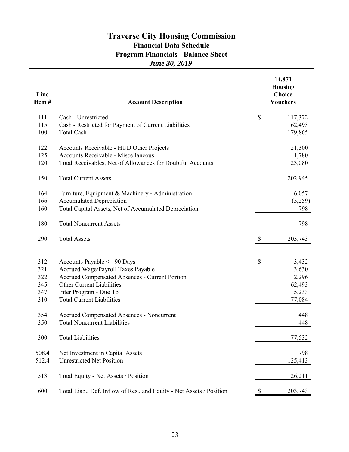## **Financial Data Schedule**

## **Program Financials - Balance Sheet**

*June 30, 2019*

| Line<br>Item# | <b>Account Description</b>                                           | 14.871<br><b>Housing</b><br><b>Choice</b><br><b>Vouchers</b> |
|---------------|----------------------------------------------------------------------|--------------------------------------------------------------|
| 111           | Cash - Unrestricted                                                  | \$<br>117,372                                                |
| 115           | Cash - Restricted for Payment of Current Liabilities                 | 62,493                                                       |
| 100           | <b>Total Cash</b>                                                    | 179,865                                                      |
| 122           | Accounts Receivable - HUD Other Projects                             | 21,300                                                       |
| 125           | Accounts Receivable - Miscellaneous                                  | 1,780                                                        |
| 120           | Total Receivables, Net of Allowances for Doubtful Accounts           | 23,080                                                       |
| 150           | <b>Total Current Assets</b>                                          | 202,945                                                      |
| 164           | Furniture, Equipment & Machinery - Administration                    | 6,057                                                        |
| 166           | <b>Accumulated Depreciation</b>                                      | (5,259)                                                      |
| 160           | Total Capital Assets, Net of Accumulated Depreciation                | 798                                                          |
| 180           | <b>Total Noncurrent Assets</b>                                       | 798                                                          |
| 290           | <b>Total Assets</b>                                                  | 203,743                                                      |
| 312           | Accounts Payable $\leq$ 90 Days                                      | \$<br>3,432                                                  |
| 321           | Accrued Wage/Payroll Taxes Payable                                   | 3,630                                                        |
| 322           | Accrued Compensated Absences - Current Portion                       | 2,296                                                        |
| 345           | Other Current Liabilities                                            | 62,493                                                       |
| 347           | Inter Program - Due To                                               | 5,233                                                        |
| 310           | <b>Total Current Liabilities</b>                                     | 77,084                                                       |
| 354           | Accrued Compensated Absences - Noncurrent                            | 448                                                          |
| 350           | <b>Total Noncurrent Liabilities</b>                                  | 448                                                          |
| 300           | <b>Total Liabilities</b>                                             | 77,532                                                       |
| 508.4         | Net Investment in Capital Assets                                     | 798                                                          |
| 512.4         | <b>Unrestricted Net Position</b>                                     | 125,413                                                      |
| 513           | Total Equity - Net Assets / Position                                 | 126,211                                                      |
| 600           | Total Liab., Def. Inflow of Res., and Equity - Net Assets / Position | \$<br>203,743                                                |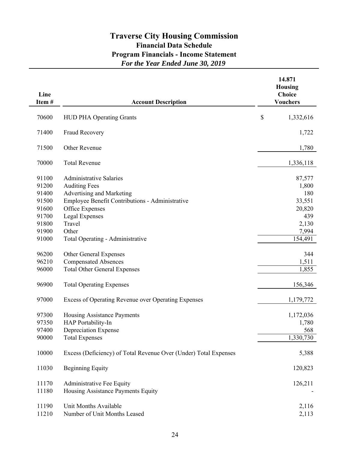## **Traverse City Housing Commission Financial Data Schedule Program Financials - Income Statement** *For the Year Ended June 30, 2019*

| Line<br>Item#  | <b>Account Description</b>                                       | 14.871<br><b>Housing</b><br><b>Choice</b><br><b>Vouchers</b> |
|----------------|------------------------------------------------------------------|--------------------------------------------------------------|
| 70600          | <b>HUD PHA Operating Grants</b>                                  | \$<br>1,332,616                                              |
| 71400          | Fraud Recovery                                                   | 1,722                                                        |
| 71500          | Other Revenue                                                    | 1,780                                                        |
| 70000          | <b>Total Revenue</b>                                             | 1,336,118                                                    |
| 91100<br>91200 | <b>Administrative Salaries</b><br><b>Auditing Fees</b>           | 87,577<br>1,800                                              |
| 91400          | Advertising and Marketing                                        | 180                                                          |
| 91500          | Employee Benefit Contributions - Administrative                  | 33,551                                                       |
| 91600          | Office Expenses                                                  | 20,820                                                       |
| 91700          | Legal Expenses                                                   | 439                                                          |
| 91800          | Travel                                                           | 2,130                                                        |
| 91900          | Other                                                            | 7,994                                                        |
| 91000          | Total Operating - Administrative                                 | 154,491                                                      |
| 96200          | Other General Expenses                                           | 344                                                          |
| 96210          | <b>Compensated Absences</b>                                      | 1,511                                                        |
| 96000          | <b>Total Other General Expenses</b>                              | 1,855                                                        |
| 96900          | <b>Total Operating Expenses</b>                                  | 156,346                                                      |
| 97000          | Excess of Operating Revenue over Operating Expenses              | 1,179,772                                                    |
| 97300          | Housing Assistance Payments                                      | 1,172,036                                                    |
| 97350          | HAP Portability-In                                               | 1,780                                                        |
| 97400          | Depreciation Expense                                             | 568                                                          |
| 90000          | <b>Total Expenses</b>                                            | 1,330,730                                                    |
| 10000          | Excess (Deficiency) of Total Revenue Over (Under) Total Expenses | 5,388                                                        |
| 11030          | <b>Beginning Equity</b>                                          | 120,823                                                      |
| 11170          | Administrative Fee Equity                                        | 126,211                                                      |
| 11180          | Housing Assistance Payments Equity                               |                                                              |
| 11190          | Unit Months Available                                            | 2,116                                                        |
| 11210          | Number of Unit Months Leased                                     | 2,113                                                        |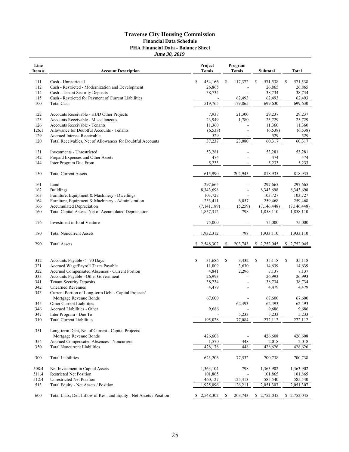#### **Financial Data Schedule**

**PHA Financial Data - Balance Sheet**

*June 30, 2019*

| Line<br>Item# | <b>Account Description</b>                                                                | Project<br><b>Totals</b> | Program<br><b>Totals</b> | Subtotal        | Total            |
|---------------|-------------------------------------------------------------------------------------------|--------------------------|--------------------------|-----------------|------------------|
|               |                                                                                           |                          |                          |                 |                  |
| 111           | Cash - Unrestricted                                                                       | \$<br>454,166            | \$<br>117,372            | \$<br>571,538   | 571,538<br>\$    |
| 112           | Cash - Restricted - Modernization and Development                                         | 26,865                   |                          | 26,865          | 26,865           |
| 114           | Cash - Tenant Security Deposits                                                           | 38,734                   |                          | 38,734          | 38,734           |
| 115           | Cash - Restricted for Payment of Current Liabilities                                      |                          | 62,493                   | 62,493          | 62,493           |
| 100           | <b>Total Cash</b>                                                                         | 519,765                  | 179,865                  | 699,630         | 699,630          |
|               |                                                                                           |                          |                          |                 |                  |
| 122           | Accounts Receivable - HUD Other Projects                                                  | 7,937                    | 21,300                   | 29,237          | 29,237           |
| 125           | Accounts Receivable - Miscellaneous                                                       | 23,949                   | 1,780                    | 25,729          | 25,729           |
| 126           | Accounts Receivable - Tenants                                                             | 11,360                   |                          | 11,360          | 11,360           |
| 126.1         | Allowance for Doubtful Accounts - Tenants                                                 | (6, 538)                 |                          | (6, 538)        | (6, 538)         |
| 129<br>120    | Accrued Interest Receivable<br>Total Receivables, Net of Allowances for Doubtful Accounts | 529<br>37,237            | 23,080                   | 529<br>60,317   | 529<br>60,317    |
|               |                                                                                           |                          |                          |                 |                  |
| 131           | Investments - Unrestricted                                                                | 53,281                   |                          | 53,281          | 53,281           |
| 142           | Prepaid Expenses and Other Assets                                                         | 474                      |                          | 474             | 474              |
| 144           | Inter Program Due From                                                                    | 5,233                    |                          | 5,233           | 5,233            |
|               |                                                                                           |                          |                          |                 |                  |
| 150           | <b>Total Current Assets</b>                                                               | 615,990                  | 202,945                  | 818,935         | 818,935          |
| 161           | Land                                                                                      | 297,665                  |                          | 297,665         | 297,665          |
| 162           | <b>Buildings</b>                                                                          | 8,343,698                |                          | 8,343,698       | 8,343,698        |
| 163           | Furniture, Equipment & Machinery - Dwellings                                              | 103,727                  |                          | 103,727         | 103,727          |
| 164           | Furniture, Equipment & Machinery - Administration                                         | 253,411                  | 6,057                    | 259,468         | 259,468          |
| 166           | <b>Accumulated Depreciation</b>                                                           | (7, 141, 189)            | (5,259)                  | (7, 146, 448)   | (7, 146, 448)    |
| 160           | Total Capital Assets, Net of Accumulated Depreciation                                     | 1,857,312                | 798                      | 1,858,110       | 1,858,110        |
| 176           | Investment in Joint Venture                                                               | 75,000                   |                          | 75,000          | 75,000           |
| 180           | <b>Total Noncurrent Assets</b>                                                            | 1,932,312                | 798                      | 1,933,110       | 1,933,110        |
|               |                                                                                           |                          |                          |                 |                  |
| 290           | <b>Total Assets</b>                                                                       | \$ 2,548,302             | 203,743<br>\$            | \$2,752,045     | 2,752,045        |
|               |                                                                                           |                          |                          |                 |                  |
| 312           | Accounts Payable <= 90 Days                                                               | \$<br>31,686             | \$<br>3,432              | \$<br>35,118    | \$<br>35,118     |
| 321           | Accrued Wage/Payroll Taxes Payable                                                        | 11,009                   | 3,630                    | 14,639<br>7,137 | 14,639           |
| 322           | Accrued Compensated Absences - Current Portion                                            | 4,841                    | 2,296                    |                 | 7,137            |
| 333           | Accounts Payable - Other Government<br><b>Tenant Security Deposits</b>                    | 26,993                   |                          | 26,993          | 26,993<br>38,734 |
| 341<br>342    | <b>Unearned Revenues</b>                                                                  | 38,734<br>4,479          |                          | 38,734<br>4,479 | 4,479            |
| 343           | Current Portion of Long-term Debt - Capital Projects/                                     |                          |                          |                 |                  |
|               | Mortgage Revenue Bonds                                                                    | 67,600                   |                          | 67,600          | 67,600           |
| 345           | Other Current Liabilities                                                                 |                          | 62,493                   | 62,493          | 62,493           |
| 346           | Accrued Liabilities - Other                                                               | 9,686                    |                          | 9,686           | 9,686            |
| 347           | Inter Program - Due To                                                                    |                          | 5,233                    | 5,233           | 5,233            |
| 310           | <b>Total Current Liabilities</b>                                                          | 195,028                  | 77,084                   | 272,112         | 272,112          |
|               |                                                                                           |                          |                          |                 |                  |
| 351           | Long-term Debt, Net of Current - Capital Projects/<br>Mortgage Revenue Bonds              | 426,608                  |                          | 426,608         | 426,608          |
| 354           | Accrued Compensated Absences - Noncurrent                                                 | 1,570                    | 448                      | 2,018           | 2,018            |
| 350           | <b>Total Noncurrent Liabilities</b>                                                       | 428,178                  | 448                      | 428,626         | 428,626          |
|               |                                                                                           |                          |                          |                 |                  |
| 300           | <b>Total Liabilities</b>                                                                  | 623,206                  | 77,532                   | 700,738         | 700,738          |
| 508.4         | Net Investment in Capital Assets                                                          | 1,363,104                | 798                      | 1,363,902       | 1,363,902        |
| 511.4         | <b>Restricted Net Position</b>                                                            | 101,865                  |                          | 101,865         | 101,865          |
| 512.4         | Unrestricted Net Position                                                                 | 460,127                  | 125,413                  | 585,540         | 585,540          |
| 513           | Total Equity - Net Assets / Position                                                      | 1,925,096                | 126,211                  | 2,051,307       | 2,051,307        |
| 600           | Total Liab., Def. Inflow of Res., and Equity - Net Assets / Position                      | \$2,548,302              | 203,743<br>\$            | \$2,752,045     | \$2,752,045      |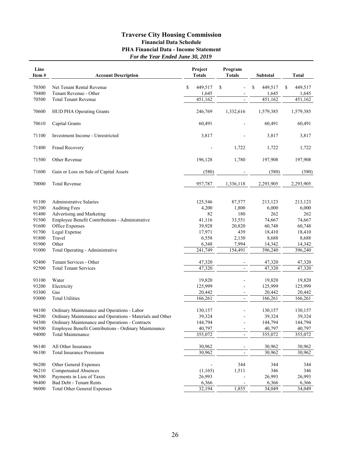#### **Traverse City Housing Commission Financial Data Schedule PHA Financial Data - Income Statement** *For the Year Ended June 30, 2019*

| Line<br>Item # | <b>Account Description</b>                                                                               | Project<br><b>Totals</b> | Program<br><b>Totals</b>      | Subtotal                          | <b>Total</b>           |
|----------------|----------------------------------------------------------------------------------------------------------|--------------------------|-------------------------------|-----------------------------------|------------------------|
| 70300<br>70400 | Net Tenant Rental Revenue<br>Tenant Revenue - Other                                                      | \$<br>449,517<br>1,645   | S<br>$\overline{\phantom{a}}$ | <sup>\$</sup><br>449,517<br>1,645 | \$<br>449,517<br>1,645 |
| 70500          | <b>Total Tenant Revenue</b>                                                                              | 451,162                  | $\Box$                        | 451,162                           | 451,162                |
| 70600          | HUD PHA Operating Grants                                                                                 | 246,769                  | 1,332,616                     | 1,579,385                         | 1,579,385              |
| 70610          | Capital Grants                                                                                           | 60,491                   |                               | 60,491                            | 60,491                 |
| 71100          | Investment Income - Unrestricted                                                                         | 3,817                    |                               | 3,817                             | 3,817                  |
| 71400          | Fraud Recovery                                                                                           |                          | 1,722                         | 1,722                             | 1,722                  |
| 71500          | Other Revenue                                                                                            | 196,128                  | 1,780                         | 197,908                           | 197,908                |
| 71600          | Gain or Loss on Sale of Capital Assets                                                                   | (580)                    |                               | (580)                             | (580)                  |
| 70000          | <b>Total Revenue</b>                                                                                     | 957,787                  | 1,336,118                     | 2,293,905                         | 2,293,905              |
| 91100          | <b>Administrative Salaries</b>                                                                           | 125,546                  | 87,577                        | 213,123                           | 213,123                |
| 91200          | <b>Auditing Fees</b>                                                                                     | 4,200                    | 1,800                         | 6,000                             | 6,000                  |
| 91400          | Advertising and Marketing                                                                                | 82                       | 180                           | 262                               | 262                    |
| 91500          | Employee Benefit Contributions - Administrative                                                          | 41,116                   | 33,551                        | 74,667                            | 74,667                 |
| 91600          | Office Expenses                                                                                          | 39,928                   | 20,820                        | 60,748                            | 60,748                 |
| 91700          | Legal Expense                                                                                            | 17,971                   | 439                           | 18,410                            | 18,410                 |
| 91800          | Travel<br>Other                                                                                          | 6,558                    | 2,130                         | 8,688                             | 8,688                  |
| 91900<br>91000 | Total Operating - Administrative                                                                         | 6,348<br>241,749         | 7,994<br>154,491              | 14,342<br>396,240                 | 14,342<br>396,240      |
|                |                                                                                                          |                          |                               |                                   |                        |
| 92400          | Tenant Services - Other                                                                                  | 47,320                   |                               | 47,320                            | 47,320                 |
| 92500          | <b>Total Tenant Services</b>                                                                             | 47,320                   | $\overline{\phantom{a}}$      | 47,320                            | 47,320                 |
|                |                                                                                                          |                          |                               |                                   |                        |
| 93100          | Water                                                                                                    | 19,820                   |                               | 19,820                            | 19,820                 |
| 93200          | Electricity                                                                                              | 125,999                  |                               | 125,999                           | 125,999                |
| 93300          | Gas                                                                                                      | 20,442                   |                               | 20,442                            | 20,442                 |
| 93000          | <b>Total Utilities</b>                                                                                   | 166,261                  | $\overline{a}$                | 166,261                           | 166,261                |
| 94100          |                                                                                                          | 130,157                  |                               |                                   |                        |
| 94200          | Ordinary Maintenance and Operations - Labor<br>Ordinary Maintenance and Operations - Materials and Other | 39,324                   |                               | 130,157<br>39,324                 | 130,157<br>39,324      |
| 94300          | Ordinary Maintenance and Operations - Contracts                                                          | 144,794                  | $\blacksquare$                | 144,794                           | 144,794                |
| 94500          | Employee Benefit Contributions - Ordinary Maintenance                                                    | 40,797                   |                               | 40,797                            | 40,797                 |
| 94000          | <b>Total Maintenance</b>                                                                                 | 355,072                  | $\overline{\phantom{a}}$      | 355,072                           | 355,072                |
| 96140          | All Other Insurance                                                                                      | 30,962                   |                               | 30,962                            |                        |
| 96100          | <b>Total Insurance Premiums</b>                                                                          | 30,962                   | $\overline{\phantom{a}}$      | 30,962                            | 30,962<br>30,962       |
|                |                                                                                                          |                          |                               |                                   |                        |
| 96200          | Other General Expenses                                                                                   |                          | 344                           | 344                               | 344                    |
| 96210          | <b>Compensated Absences</b>                                                                              | (1,165)                  | 1,511                         | 346                               | 346                    |
| 96300          | Payments in Lieu of Taxes                                                                                | 26,993                   |                               | 26,993                            | 26,993                 |
| 96400          | Bad Debt - Tenant Rents                                                                                  | 6,366                    |                               | 6,366                             | 6,366                  |
| 96000          | <b>Total Other General Expenses</b>                                                                      | 32,194                   | 1,855                         | 34,049                            | 34,049                 |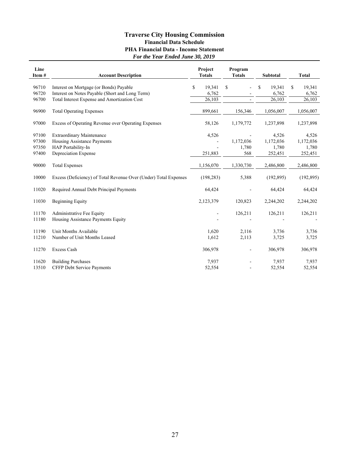#### **Traverse City Housing Commission Financial Data Schedule PHA Financial Data - Income Statement** *For the Year Ended June 30, 2019*

| Line<br>Item# | <b>Account Description</b>                                       | Project<br><b>Totals</b> | Program<br><b>Totals</b> | <b>Subtotal</b> | <b>Total</b> |
|---------------|------------------------------------------------------------------|--------------------------|--------------------------|-----------------|--------------|
| 96710         | Interest on Mortgage (or Bonds) Payable                          | \$<br>19,341             | \$                       | S<br>19,341     | S<br>19,341  |
| 96720         | Interest on Notes Payable (Short and Long Term)                  | 6,762                    |                          | 6,762           | 6,762        |
| 96700         | Total Interest Expense and Amortization Cost                     | 26,103                   |                          | 26,103          | 26,103       |
| 96900         | <b>Total Operating Expenses</b>                                  | 899,661                  | 156,346                  | 1,056,007       | 1,056,007    |
| 97000         | Excess of Operating Revenue over Operating Expenses              | 58,126                   | 1,179,772                | 1,237,898       | 1,237,898    |
| 97100         | <b>Extraordinary Maintenance</b>                                 | 4,526                    |                          | 4,526           | 4,526        |
| 97300         | Housing Assistance Payments                                      |                          | 1,172,036                | 1,172,036       | 1,172,036    |
| 97350         | HAP Portability-In                                               |                          | 1,780                    | 1,780           | 1,780        |
| 97400         | Depreciation Expense                                             | 251,883                  | 568                      | 252,451         | 252,451      |
| 90000         | <b>Total Expenses</b>                                            | 1,156,070                | 1,330,730                | 2,486,800       | 2,486,800    |
| 10000         | Excess (Deficiency) of Total Revenue Over (Under) Total Expenses | (198, 283)               | 5,388                    | (192, 895)      | (192, 895)   |
| 11020         | Required Annual Debt Principal Payments                          | 64,424                   |                          | 64,424          | 64,424       |
| 11030         | <b>Beginning Equity</b>                                          | 2,123,379                | 120,823                  | 2,244,202       | 2,244,202    |
| 11170         | Administrative Fee Equity                                        |                          | 126,211                  | 126,211         | 126,211      |
| 11180         | Housing Assistance Payments Equity                               |                          |                          |                 |              |
| 11190         | Unit Months Available                                            | 1,620                    | 2,116                    | 3,736           | 3,736        |
| 11210         | Number of Unit Months Leased                                     | 1,612                    | 2,113                    | 3,725           | 3,725        |
| 11270         | Excess Cash                                                      | 306,978                  |                          | 306,978         | 306,978      |
| 11620         | <b>Building Purchases</b>                                        | 7,937                    |                          | 7,937           | 7,937        |
| 13510         | CFFP Debt Service Payments                                       | 52,554                   |                          | 52,554          | 52,554       |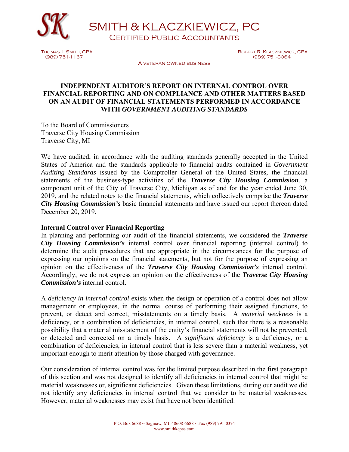

SMITH & KLACZKIEWICZ, PC Certified Public Accountants

Thomas J. Smith, CPA Robert R. Klaczkiewicz, CPA Robert R. Klaczkiewicz, CPA Robert R. Klaczkiewicz, CPA (989)<br>(989) 751-1167 (989) 751-3064 (989) 751-3064

A veteran owned business

#### **INDEPENDENT AUDITOR'S REPORT ON INTERNAL CONTROL OVER FINANCIAL REPORTING AND ON COMPLIANCE AND OTHER MATTERS BASED ON AN AUDIT OF FINANCIAL STATEMENTS PERFORMED IN ACCORDANCE WITH** *GOVERNMENT AUDITING STANDARDS*

To the Board of Commissioners Traverse City Housing Commission Traverse City, MI

We have audited, in accordance with the auditing standards generally accepted in the United States of America and the standards applicable to financial audits contained in *Government Auditing Standards* issued by the Comptroller General of the United States, the financial statements of the business-type activities of the *Traverse City Housing Commission*, a component unit of the City of Traverse City, Michigan as of and for the year ended June 30, 2019, and the related notes to the financial statements, which collectively comprise the *Traverse City Housing Commission's* basic financial statements and have issued our report thereon dated December 20, 2019.

#### **Internal Control over Financial Reporting**

In planning and performing our audit of the financial statements, we considered the *Traverse City Housing Commission's* internal control over financial reporting (internal control) to determine the audit procedures that are appropriate in the circumstances for the purpose of expressing our opinions on the financial statements, but not for the purpose of expressing an opinion on the effectiveness of the *Traverse City Housing Commission's* internal control. Accordingly, we do not express an opinion on the effectiveness of the *Traverse City Housing Commission's* internal control.

A *deficiency in internal control* exists when the design or operation of a control does not allow management or employees, in the normal course of performing their assigned functions, to prevent, or detect and correct, misstatements on a timely basis. A *material weakness* is a deficiency, or a combination of deficiencies, in internal control, such that there is a reasonable possibility that a material misstatement of the entity's financial statements will not be prevented, or detected and corrected on a timely basis. A *significant deficiency* is a deficiency, or a combination of deficiencies, in internal control that is less severe than a material weakness, yet important enough to merit attention by those charged with governance.

Our consideration of internal control was for the limited purpose described in the first paragraph of this section and was not designed to identify all deficiencies in internal control that might be material weaknesses or, significant deficiencies. Given these limitations, during our audit we did not identify any deficiencies in internal control that we consider to be material weaknesses. However, material weaknesses may exist that have not been identified.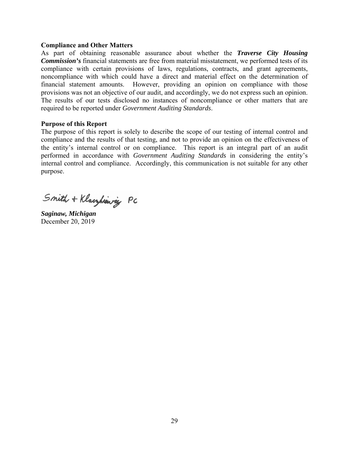#### **Compliance and Other Matters**

As part of obtaining reasonable assurance about whether the *Traverse City Housing Commission's* financial statements are free from material misstatement, we performed tests of its compliance with certain provisions of laws, regulations, contracts, and grant agreements, noncompliance with which could have a direct and material effect on the determination of financial statement amounts. However, providing an opinion on compliance with those provisions was not an objective of our audit, and accordingly, we do not express such an opinion. The results of our tests disclosed no instances of noncompliance or other matters that are required to be reported under *Government Auditing Standards*.

#### **Purpose of this Report**

The purpose of this report is solely to describe the scope of our testing of internal control and compliance and the results of that testing, and not to provide an opinion on the effectiveness of the entity's internal control or on compliance. This report is an integral part of an audit performed in accordance with *Government Auditing Standards* in considering the entity's internal control and compliance. Accordingly, this communication is not suitable for any other purpose.

Smith + Klacyhiavicy PC

*Saginaw, Michigan* December 20, 2019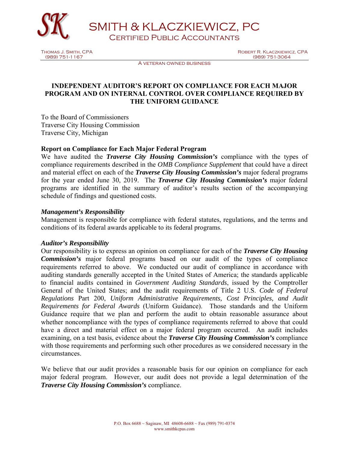

SMITH & KLACZKIEWICZ, PC Certified Public Accountants

Thomas J. Smith, CPA Robert R. Klaczkiewicz, CPA Robert R. Klaczkiewicz, CPA Robert R. Klaczkiewicz, CPA (989)<br>1989) 751-3064 (989) 751-3064 (989) 751-3064

A veteran owned business

#### **INDEPENDENT AUDITOR'S REPORT ON COMPLIANCE FOR EACH MAJOR PROGRAM AND ON INTERNAL CONTROL OVER COMPLIANCE REQUIRED BY THE UNIFORM GUIDANCE**

To the Board of Commissioners Traverse City Housing Commission Traverse City, Michigan

#### **Report on Compliance for Each Major Federal Program**

We have audited the *Traverse City Housing Commission's* compliance with the types of compliance requirements described in the *OMB Compliance Supplement* that could have a direct and material effect on each of the *Traverse City Housing Commission's* major federal programs for the year ended June 30, 2019. The *Traverse City Housing Commission's* major federal programs are identified in the summary of auditor's results section of the accompanying schedule of findings and questioned costs.

#### *Management's Responsibility*

Management is responsible for compliance with federal statutes, regulations, and the terms and conditions of its federal awards applicable to its federal programs.

#### *Auditor's Responsibility*

Our responsibility is to express an opinion on compliance for each of the *Traverse City Housing Commission's* major federal programs based on our audit of the types of compliance requirements referred to above. We conducted our audit of compliance in accordance with auditing standards generally accepted in the United States of America; the standards applicable to financial audits contained in *Government Auditing Standards*, issued by the Comptroller General of the United States; and the audit requirements of Title 2 U.S. *Code of Federal Regulations* Part 200, *Uniform Administrative Requirements, Cost Principles, and Audit Requirements for Federal Awards* (Uniform Guidance). Those standards and the Uniform Guidance require that we plan and perform the audit to obtain reasonable assurance about whether noncompliance with the types of compliance requirements referred to above that could have a direct and material effect on a major federal program occurred. An audit includes examining, on a test basis, evidence about the *Traverse City Housing Commission's* compliance with those requirements and performing such other procedures as we considered necessary in the circumstances.

We believe that our audit provides a reasonable basis for our opinion on compliance for each major federal program. However, our audit does not provide a legal determination of the *Traverse City Housing Commission's* compliance.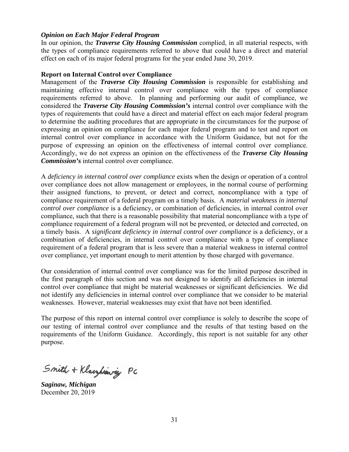#### *Opinion on Each Major Federal Program*

In our opinion, the *Traverse City Housing Commission* complied, in all material respects, with the types of compliance requirements referred to above that could have a direct and material effect on each of its major federal programs for the year ended June 30, 2019.

#### **Report on Internal Control over Compliance**

Management of the *Traverse City Housing Commission* is responsible for establishing and maintaining effective internal control over compliance with the types of compliance requirements referred to above. In planning and performing our audit of compliance, we considered the *Traverse City Housing Commission's* internal control over compliance with the types of requirements that could have a direct and material effect on each major federal program to determine the auditing procedures that are appropriate in the circumstances for the purpose of expressing an opinion on compliance for each major federal program and to test and report on internal control over compliance in accordance with the Uniform Guidance, but not for the purpose of expressing an opinion on the effectiveness of internal control over compliance. Accordingly, we do not express an opinion on the effectiveness of the *Traverse City Housing Commission's* internal control over compliance.

A *deficiency in internal control over compliance* exists when the design or operation of a control over compliance does not allow management or employees, in the normal course of performing their assigned functions, to prevent, or detect and correct, noncompliance with a type of compliance requirement of a federal program on a timely basis. A *material weakness in internal control over compliance* is a deficiency, or combination of deficiencies, in internal control over compliance, such that there is a reasonable possibility that material noncompliance with a type of compliance requirement of a federal program will not be prevented, or detected and corrected, on a timely basis. A *significant deficiency in internal control over compliance* is a deficiency, or a combination of deficiencies, in internal control over compliance with a type of compliance requirement of a federal program that is less severe than a material weakness in internal control over compliance, yet important enough to merit attention by those charged with governance.

Our consideration of internal control over compliance was for the limited purpose described in the first paragraph of this section and was not designed to identify all deficiencies in internal control over compliance that might be material weaknesses or significant deficiencies. We did not identify any deficiencies in internal control over compliance that we consider to be material weaknesses. However, material weaknesses may exist that have not been identified.

The purpose of this report on internal control over compliance is solely to describe the scope of our testing of internal control over compliance and the results of that testing based on the requirements of the Uniform Guidance. Accordingly, this report is not suitable for any other purpose.

Smith + Klacyhiavicy PC

*Saginaw, Michigan*  December 20, 2019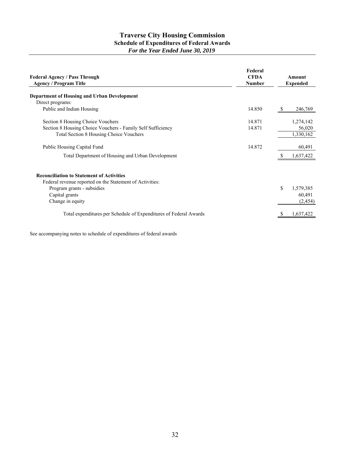#### **Traverse City Housing Commission Schedule of Expenditures of Federal Awards** *For the Year Ended June 30, 2019*

| <b>Federal Agency / Pass Through</b><br><b>Agency / Program Title</b> | Federal<br><b>CFDA</b><br><b>Number</b> | Amount<br><b>Expended</b> |           |
|-----------------------------------------------------------------------|-----------------------------------------|---------------------------|-----------|
| Department of Housing and Urban Development                           |                                         |                           |           |
| Direct programs:                                                      |                                         |                           |           |
| Public and Indian Housing                                             | 14.850                                  | -S                        | 246,769   |
| Section 8 Housing Choice Vouchers                                     | 14.871                                  |                           | 1,274,142 |
| Section 8 Housing Choice Vouchers - Family Self Sufficiency           | 14.871                                  |                           | 56,020    |
| Total Section 8 Housing Choice Vouchers                               |                                         |                           | 1,330,162 |
| Public Housing Capital Fund                                           | 14.872                                  |                           | 60,491    |
| Total Department of Housing and Urban Development                     |                                         |                           | 1,637,422 |
| <b>Reconciliation to Statement of Activities</b>                      |                                         |                           |           |
| Federal revenue reported on the Statement of Activities:              |                                         |                           |           |
| Program grants - subsidies                                            |                                         | \$                        | 1,579,385 |
| Capital grants                                                        |                                         |                           | 60,491    |
| Change in equity                                                      |                                         |                           | (2, 454)  |
| Total expenditures per Schedule of Expenditures of Federal Awards     |                                         |                           | 1,637,422 |
|                                                                       |                                         |                           |           |

See accompanying notes to schedule of expenditures of federal awards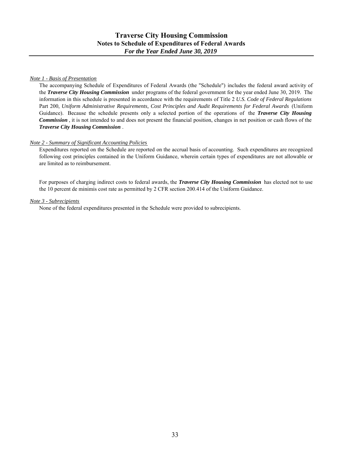#### *Note 1 - Basis of Presentation*

The accompanying Schedule of Expenditures of Federal Awards (the "Schedule") includes the federal award activity of the *Traverse City Housing Commission* under programs of the federal government for the year ended June 30, 2019. The information in this schedule is presented in accordance with the requirements of Title 2 *U.S. Code of Federal Regulations* Part 200, *Uniform Administrative Requirements, Cost Principles and Audit Requirements for Federal Awards* (Uniform Guidance). Because the schedule presents only a selected portion of the operations of the *Traverse City Housing Commission* , it is not intended to and does not present the financial position, changes in net position or cash flows of the *Traverse City Housing Commission* .

#### *Note 2 - Summary of Significant Accounting Policies*

Expenditures reported on the Schedule are reported on the accrual basis of accounting. Such expenditures are recognized following cost principles contained in the Uniform Guidance, wherein certain types of expenditures are not allowable or are limited as to reimbursement.

For purposes of charging indirect costs to federal awards, the *Traverse City Housing Commission* has elected not to use the 10 percent de minimis cost rate as permitted by 2 CFR section 200.414 of the Uniform Guidance.

#### *Note 3 - Subrecipients*

None of the federal expenditures presented in the Schedule were provided to subrecipients.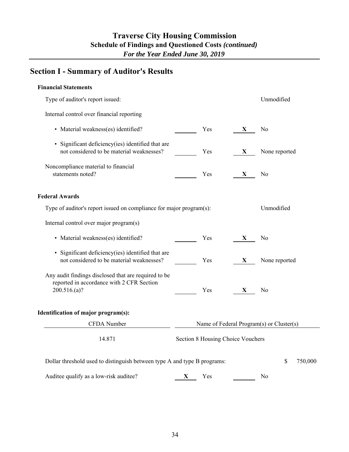## **Section I - Summary of Auditor's Results**

## **Financial Statements** Type of auditor's report issued: Unmodified Internal control over financial reporting • Material weakness(es) identified? Yes **X** No • Significant deficiency(ies) identified that are not considered to be material weaknesses? Yes X None reported Noncompliance material to financial statements noted? **Yes X** No **Federal Awards** Type of auditor's report issued on compliance for major program(s): Unmodified Internal control over major program(s) • Material weakness(es) identified? Yes **X** No • Significant deficiency(ies) identified that are not considered to be material weaknesses? Yes X None reported Any audit findings disclosed that are required to be reported in accordance with 2 CFR Section 200.516.(a)? Yes **X** No **Identification of major program(s):**

| CFDA Number                                                              | Name of Federal Program(s) or Cluster(s) |   |         |
|--------------------------------------------------------------------------|------------------------------------------|---|---------|
| 14.871                                                                   | Section 8 Housing Choice Vouchers        |   |         |
| Dollar threshold used to distinguish between type A and type B programs: |                                          | S | 750,000 |

Auditee qualify as a low-risk auditee? **X** Yes No